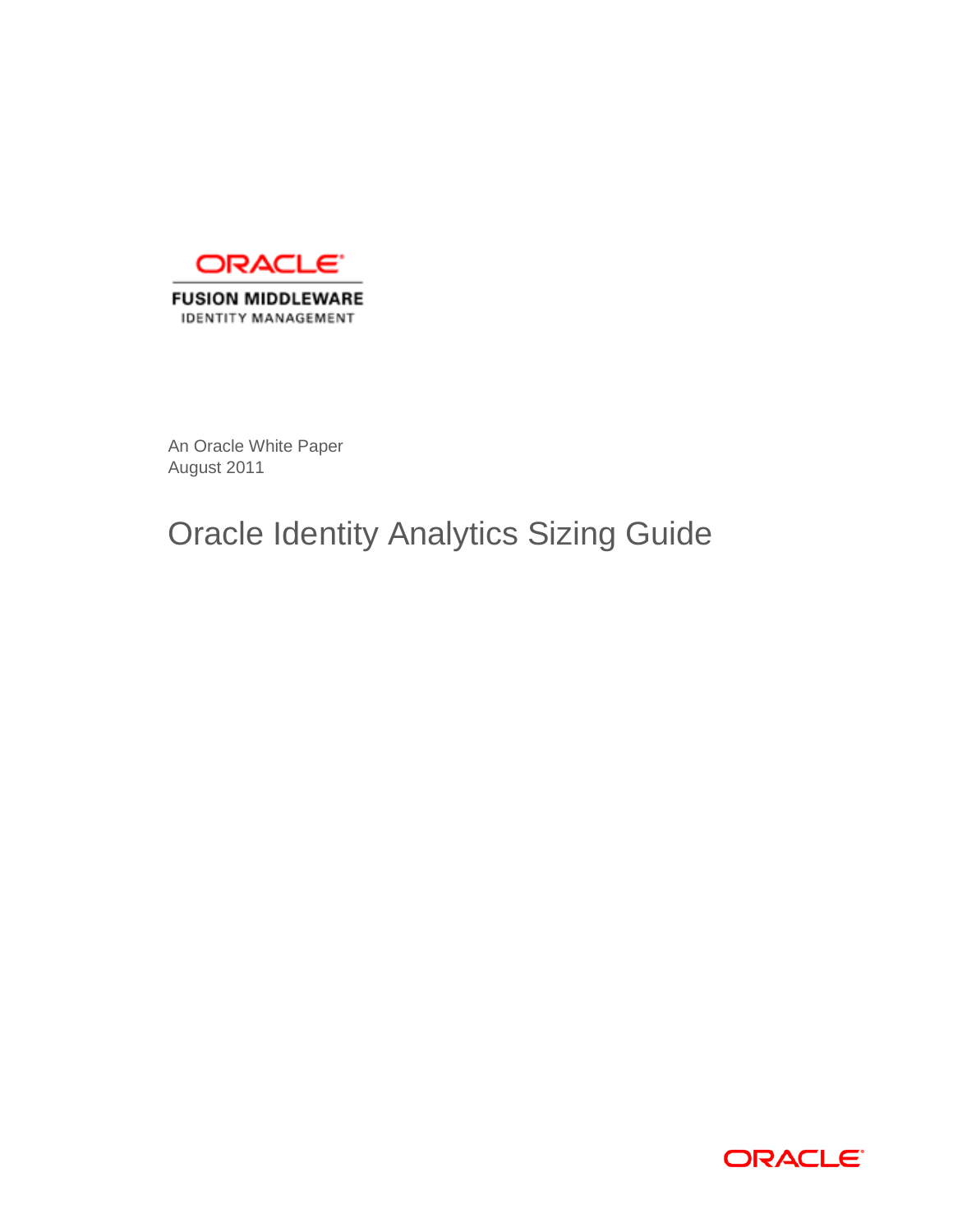

An Oracle White Paper August 2011

# Oracle Identity Analytics Sizing Guide

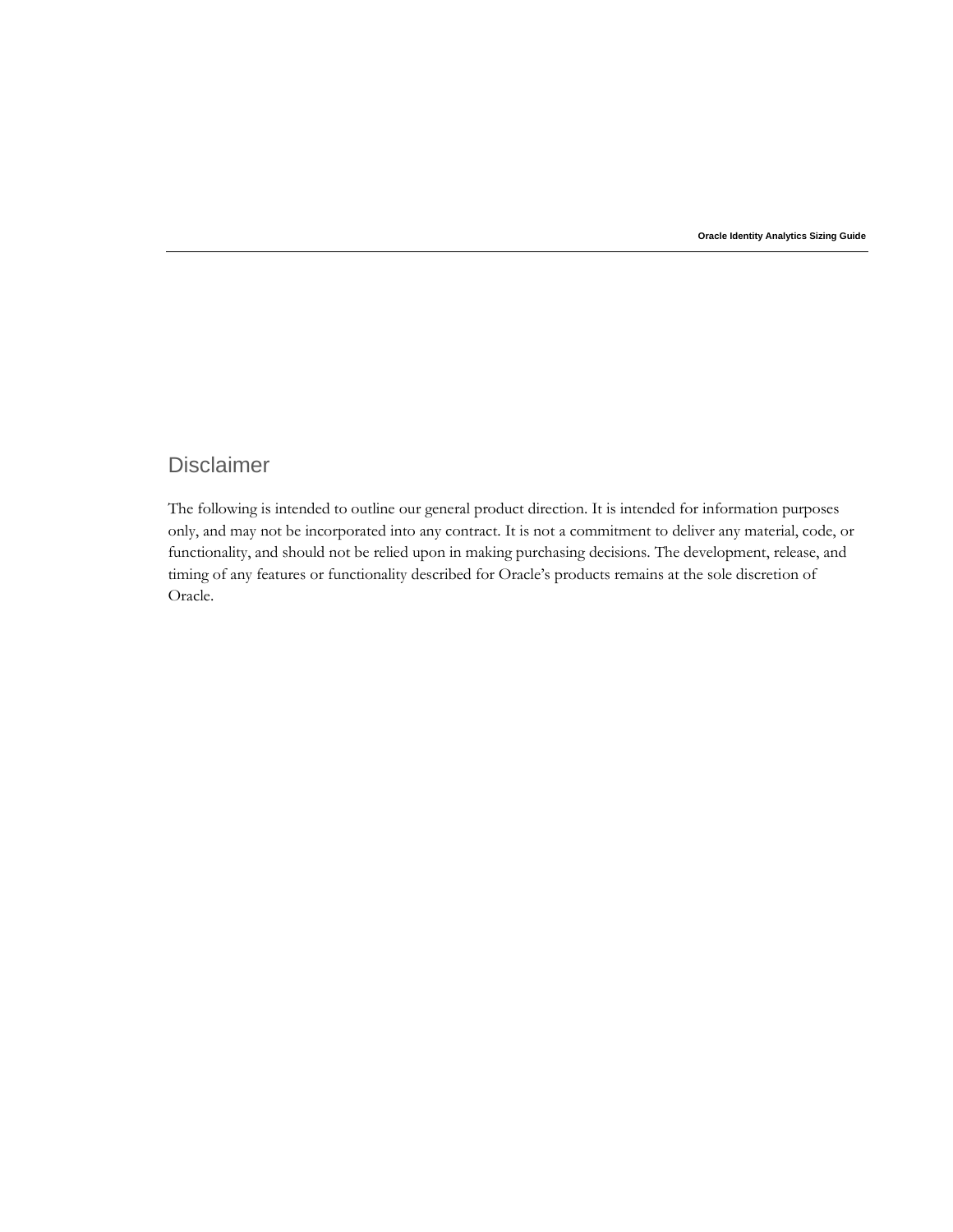**Oracle Identity Analytics Sizing Guide** 

# Disclaimer

The following is intended to outline our general product direction. It is intended for information purposes only, and may not be incorporated into any contract. It is not a commitment to deliver any material, code, or functionality, and should not be relied upon in making purchasing decisions. The development, release, and timing of any features or functionality described for Oracle's products remains at the sole discretion of Oracle.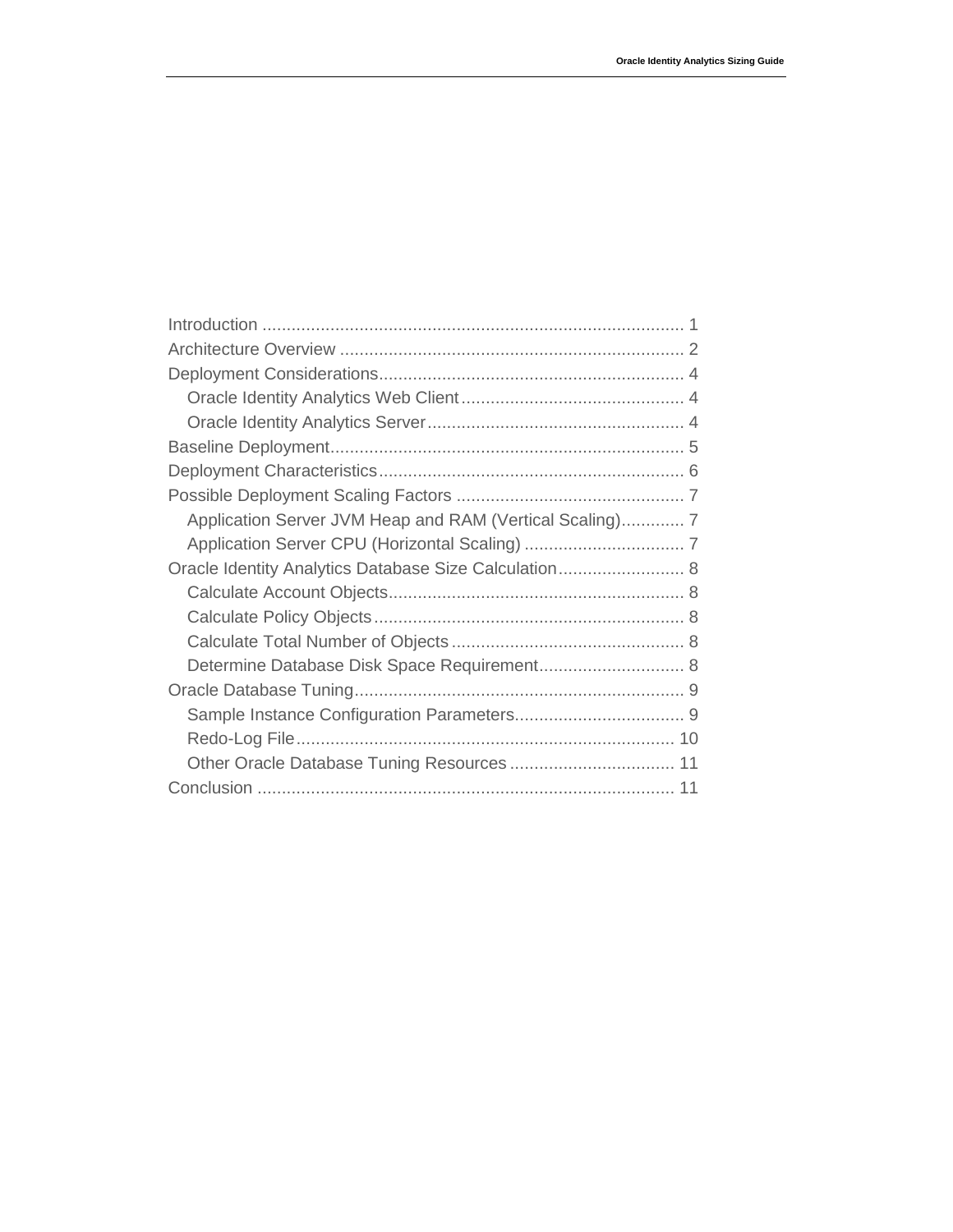| Application Server JVM Heap and RAM (Vertical Scaling) 7 |  |
|----------------------------------------------------------|--|
|                                                          |  |
| Oracle Identity Analytics Database Size Calculation 8    |  |
|                                                          |  |
|                                                          |  |
|                                                          |  |
| Determine Database Disk Space Requirement 8              |  |
|                                                          |  |
|                                                          |  |
|                                                          |  |
|                                                          |  |
|                                                          |  |
|                                                          |  |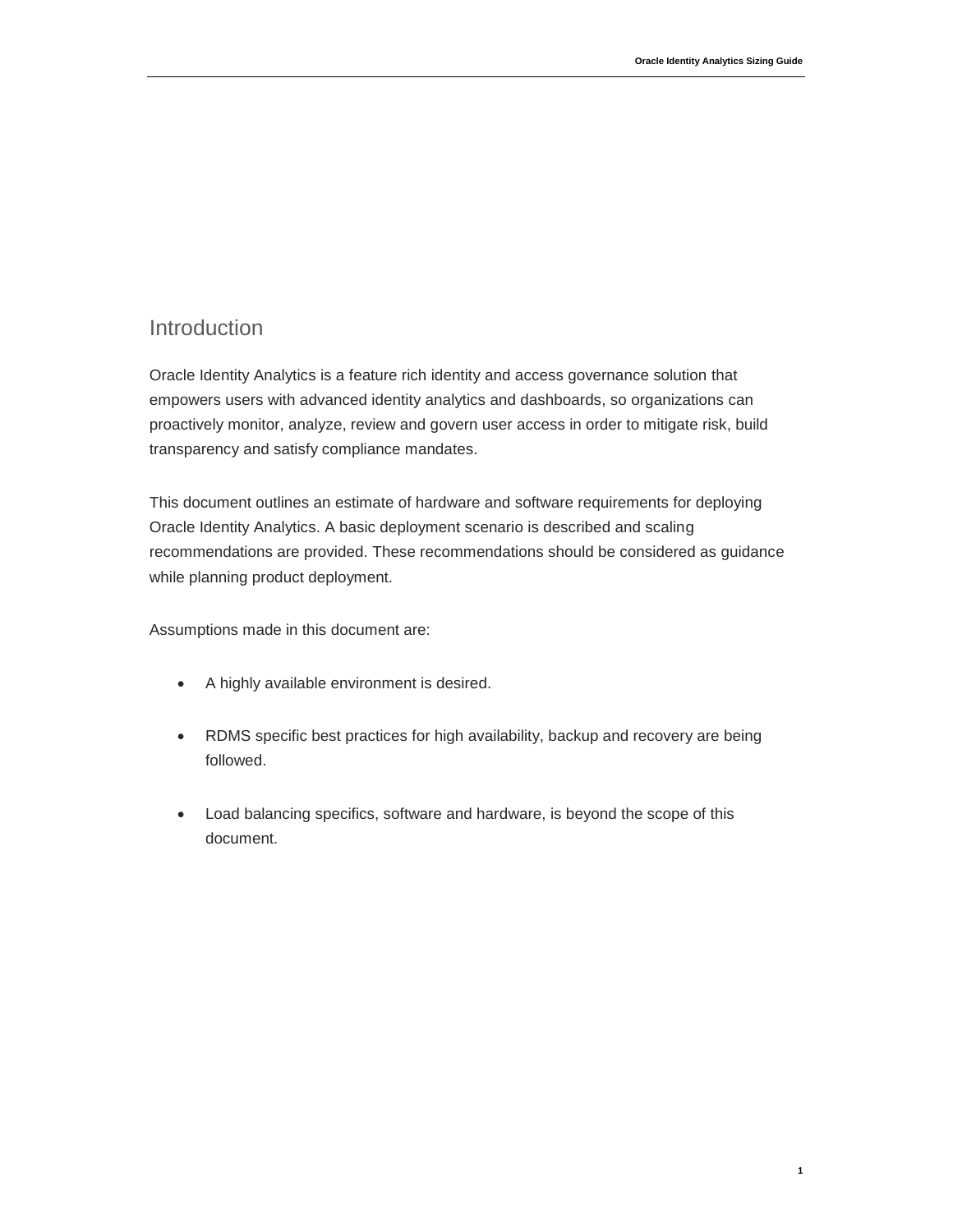**1**

## <span id="page-3-0"></span>Introduction

Oracle Identity Analytics is a feature rich identity and access governance solution that empowers users with advanced identity analytics and dashboards, so organizations can proactively monitor, analyze, review and govern user access in order to mitigate risk, build transparency and satisfy compliance mandates.

This document outlines an estimate of hardware and software requirements for deploying Oracle Identity Analytics. A basic deployment scenario is described and scaling recommendations are provided. These recommendations should be considered as guidance while planning product deployment.

Assumptions made in this document are:

- A highly available environment is desired.
- RDMS specific best practices for high availability, backup and recovery are being followed.
- Load balancing specifics, software and hardware, is beyond the scope of this document.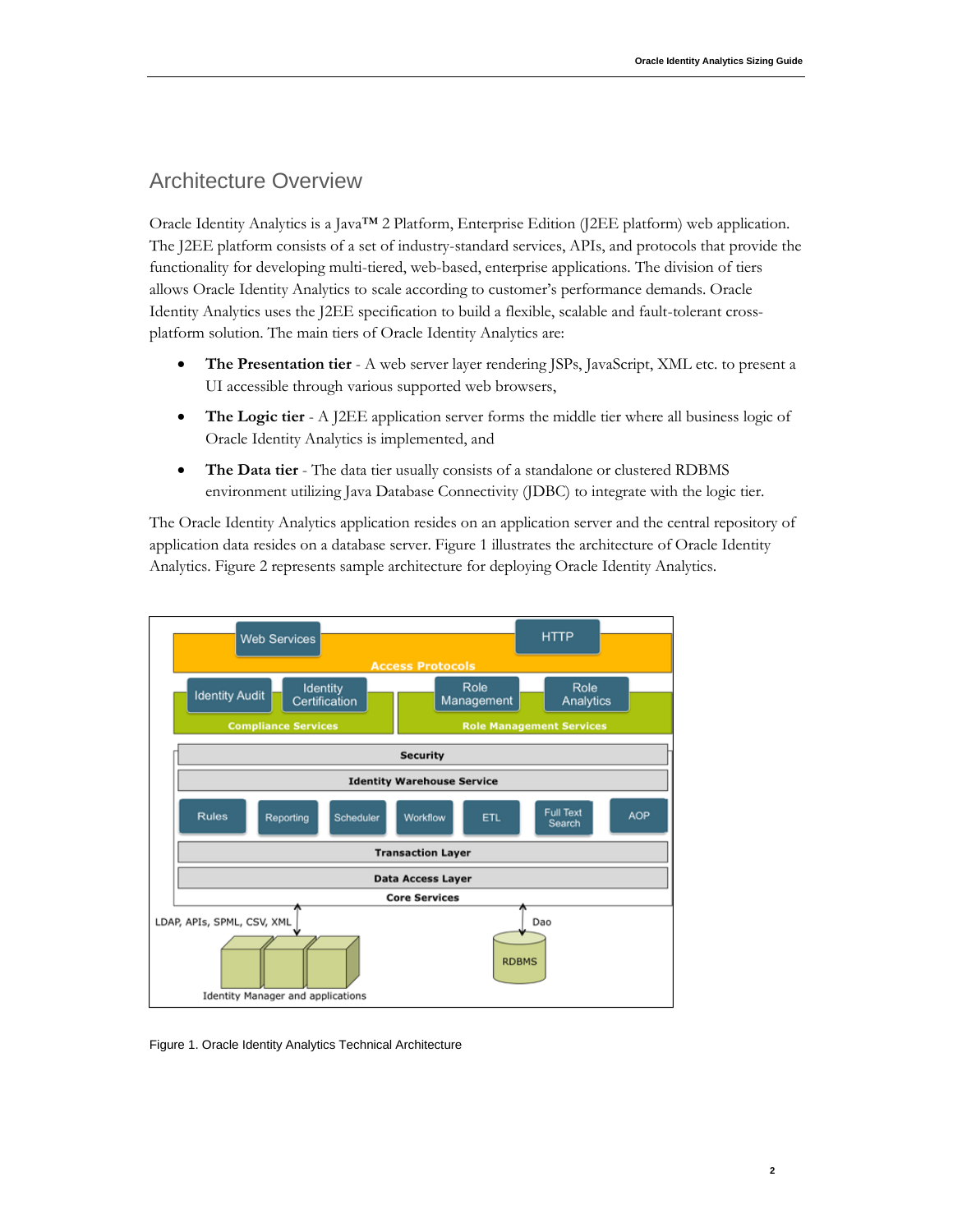# <span id="page-4-0"></span>Architecture Overview

Oracle Identity Analytics is a Java™ 2 Platform, Enterprise Edition (J2EE platform) web application. The J2EE platform consists of a set of industry-standard services, APIs, and protocols that provide the functionality for developing multi-tiered, web-based, enterprise applications. The division of tiers allows Oracle Identity Analytics to scale according to customer's performance demands. Oracle Identity Analytics uses the J2EE specification to build a flexible, scalable and fault-tolerant crossplatform solution. The main tiers of Oracle Identity Analytics are:

- **The Presentation tier** A web server layer rendering JSPs, JavaScript, XML etc. to present a UI accessible through various supported web browsers,
- **The Logic tier** A J2EE application server forms the middle tier where all business logic of Oracle Identity Analytics is implemented, and
- **The Data tier** The data tier usually consists of a standalone or clustered RDBMS environment utilizing Java Database Connectivity (JDBC) to integrate with the logic tier.

The Oracle Identity Analytics application resides on an application server and the central repository of application data resides on a database server. Figure 1 illustrates the architecture of Oracle Identity Analytics. Figure 2 represents sample architecture for deploying Oracle Identity Analytics.



Figure 1. Oracle Identity Analytics Technical Architecture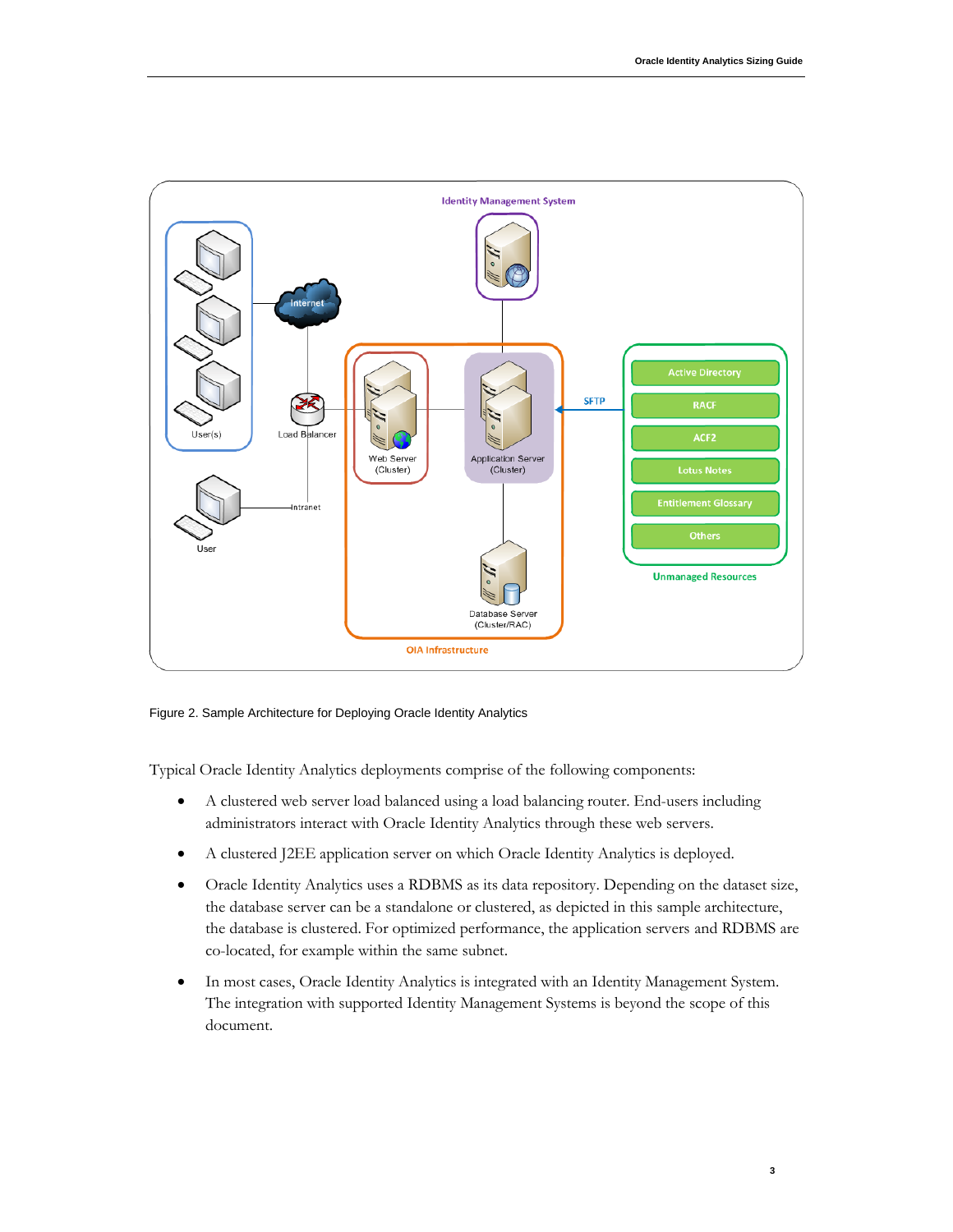

Figure 2. Sample Architecture for Deploying Oracle Identity Analytics

Typical Oracle Identity Analytics deployments comprise of the following components:

- A clustered web server load balanced using a load balancing router. End-users including administrators interact with Oracle Identity Analytics through these web servers.
- A clustered J2EE application server on which Oracle Identity Analytics is deployed.
- Oracle Identity Analytics uses a RDBMS as its data repository. Depending on the dataset size, the database server can be a standalone or clustered, as depicted in this sample architecture, the database is clustered. For optimized performance, the application servers and RDBMS are co-located, for example within the same subnet.
- In most cases, Oracle Identity Analytics is integrated with an Identity Management System. The integration with supported Identity Management Systems is beyond the scope of this document.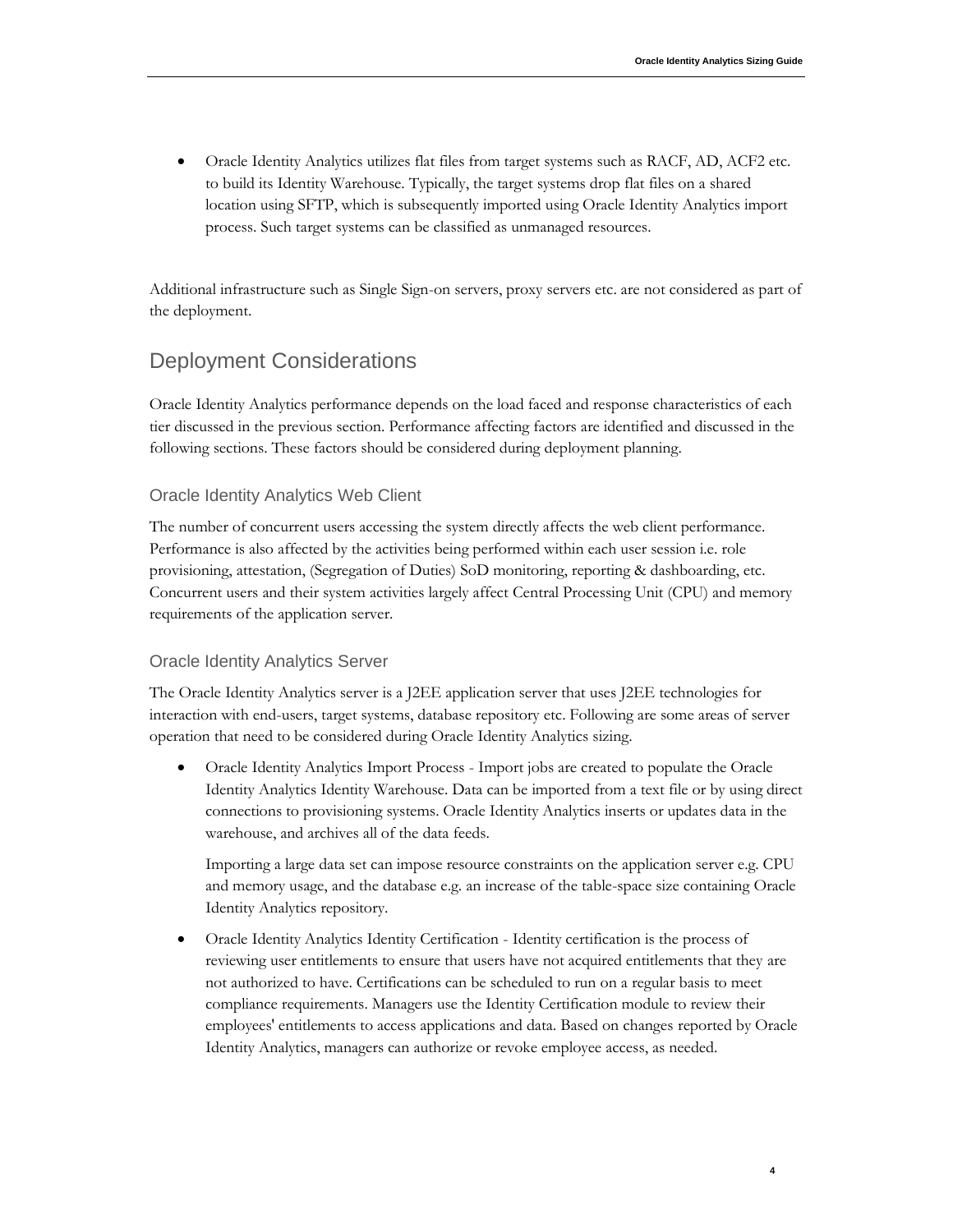Oracle Identity Analytics utilizes flat files from target systems such as RACF, AD, ACF2 etc. to build its Identity Warehouse. Typically, the target systems drop flat files on a shared location using SFTP, which is subsequently imported using Oracle Identity Analytics import process. Such target systems can be classified as unmanaged resources.

Additional infrastructure such as Single Sign-on servers, proxy servers etc. are not considered as part of the deployment.

# <span id="page-6-0"></span>Deployment Considerations

Oracle Identity Analytics performance depends on the load faced and response characteristics of each tier discussed in the previous section. Performance affecting factors are identified and discussed in the following sections. These factors should be considered during deployment planning.

### <span id="page-6-1"></span>Oracle Identity Analytics Web Client

The number of concurrent users accessing the system directly affects the web client performance. Performance is also affected by the activities being performed within each user session i.e. role provisioning, attestation, (Segregation of Duties) SoD monitoring, reporting & dashboarding, etc. Concurrent users and their system activities largely affect Central Processing Unit (CPU) and memory requirements of the application server.

### <span id="page-6-2"></span>Oracle Identity Analytics Server

The Oracle Identity Analytics server is a J2EE application server that uses J2EE technologies for interaction with end-users, target systems, database repository etc. Following are some areas of server operation that need to be considered during Oracle Identity Analytics sizing.

 Oracle Identity Analytics Import Process - Import jobs are created to populate the Oracle Identity Analytics Identity Warehouse. Data can be imported from a text file or by using direct connections to provisioning systems. Oracle Identity Analytics inserts or updates data in the warehouse, and archives all of the data feeds.

Importing a large data set can impose resource constraints on the application server e.g. CPU and memory usage, and the database e.g. an increase of the table-space size containing Oracle Identity Analytics repository.

 Oracle Identity Analytics Identity Certification - Identity certification is the process of reviewing user entitlements to ensure that users have not acquired entitlements that they are not authorized to have. Certifications can be scheduled to run on a regular basis to meet compliance requirements. Managers use the Identity Certification module to review their employees' entitlements to access applications and data. Based on changes reported by Oracle Identity Analytics, managers can authorize or revoke employee access, as needed.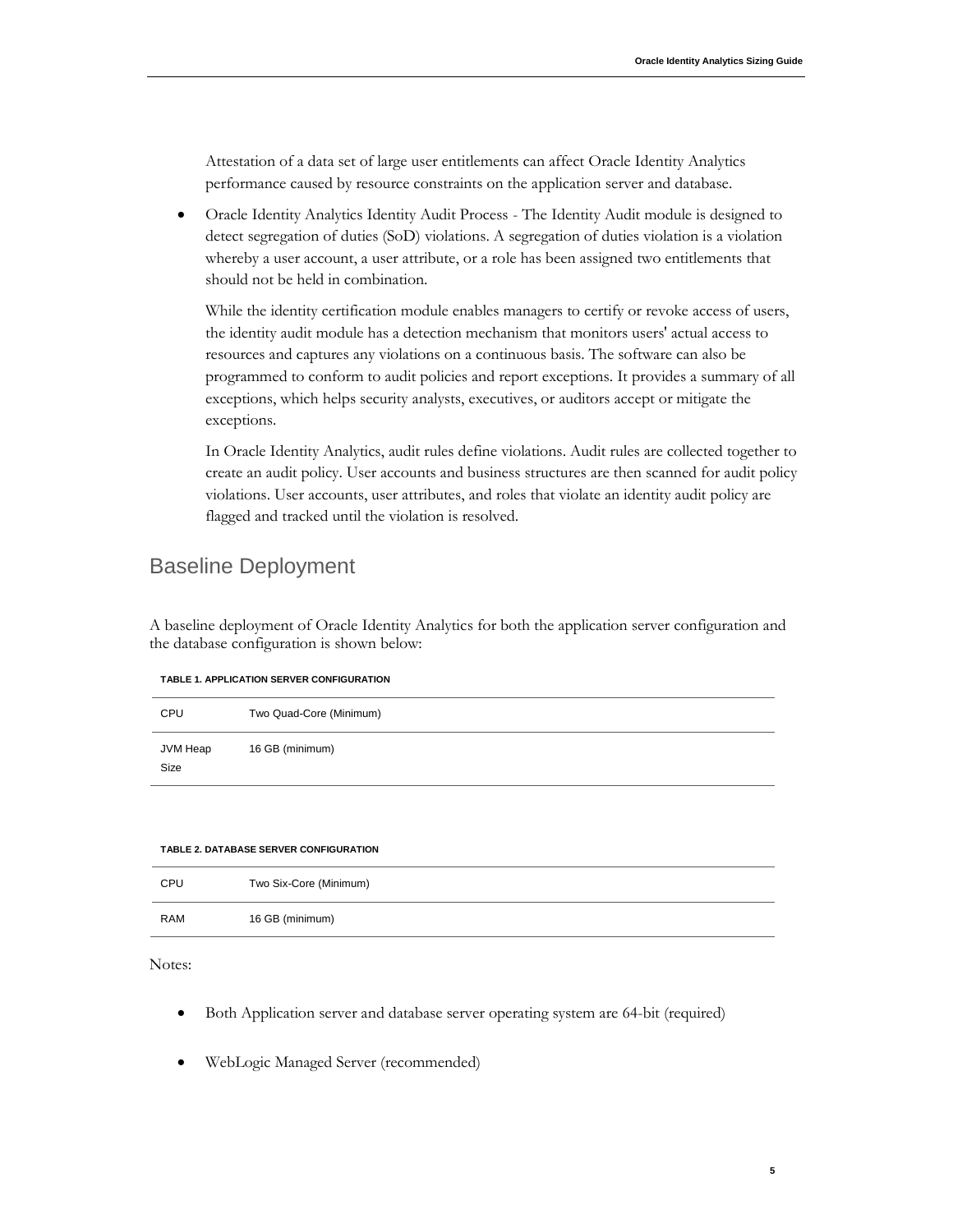Attestation of a data set of large user entitlements can affect Oracle Identity Analytics performance caused by resource constraints on the application server and database.

 Oracle Identity Analytics Identity Audit Process - The Identity Audit module is designed to detect segregation of duties (SoD) violations. A segregation of duties violation is a violation whereby a user account, a user attribute, or a role has been assigned two entitlements that should not be held in combination.

While the identity certification module enables managers to certify or revoke access of users, the identity audit module has a detection mechanism that monitors users' actual access to resources and captures any violations on a continuous basis. The software can also be programmed to conform to audit policies and report exceptions. It provides a summary of all exceptions, which helps security analysts, executives, or auditors accept or mitigate the exceptions.

In Oracle Identity Analytics, audit rules define violations. Audit rules are collected together to create an audit policy. User accounts and business structures are then scanned for audit policy violations. User accounts, user attributes, and roles that violate an identity audit policy are flagged and tracked until the violation is resolved.

## <span id="page-7-0"></span>Baseline Deployment

A baseline deployment of Oracle Identity Analytics for both the application server configuration and the database configuration is shown below:

| CPU              | Two Quad-Core (Minimum) |
|------------------|-------------------------|
| JVM Heap<br>Size | 16 GB (minimum)         |

#### **TABLE 2. DATABASE SERVER CONFIGURATION**

| CPU        | Two Six-Core (Minimum) |
|------------|------------------------|
| <b>RAM</b> | 16 GB (minimum)        |

Notes:

- Both Application server and database server operating system are 64-bit (required)
- WebLogic Managed Server (recommended)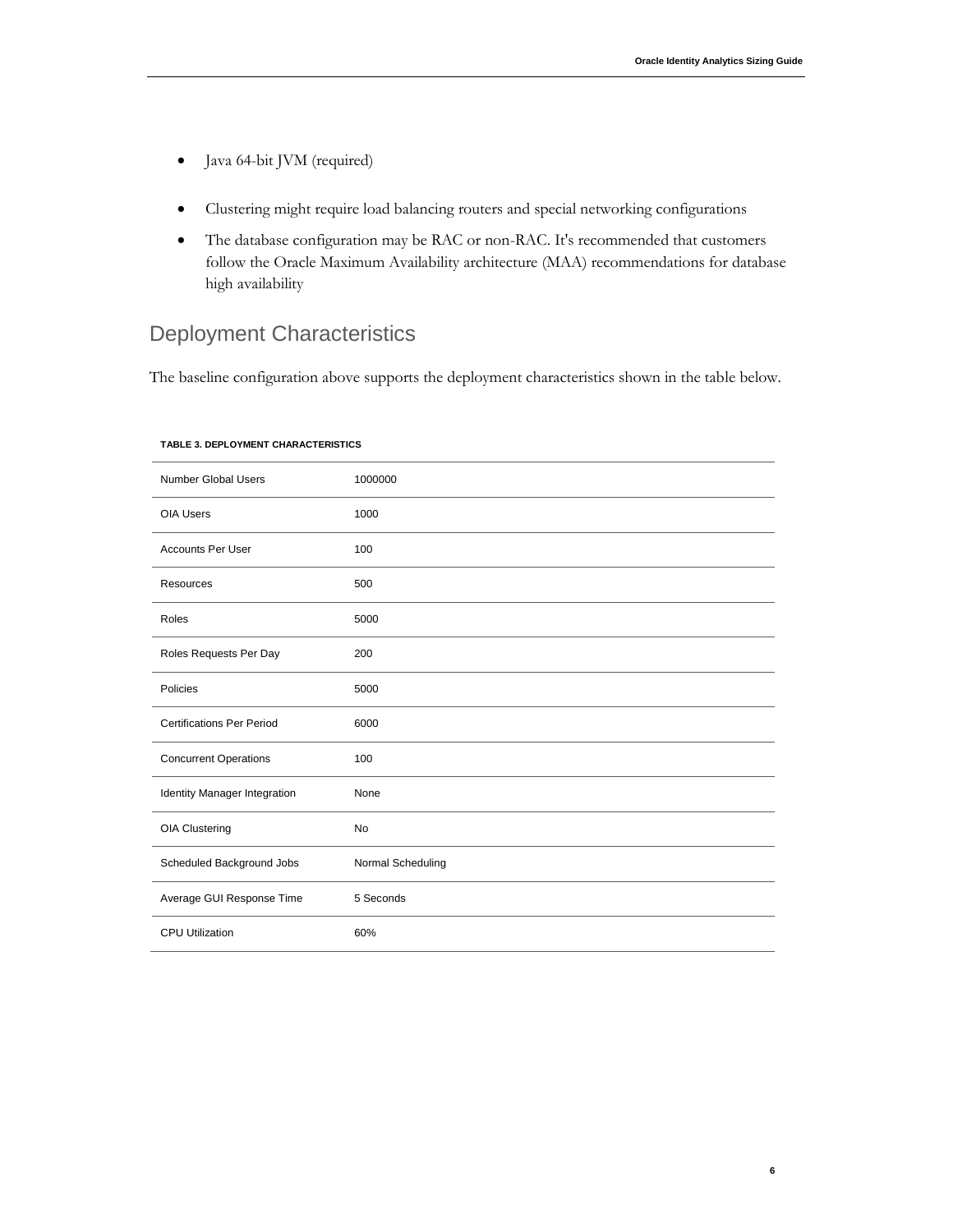**6**

- Java 64-bit JVM (required)
- Clustering might require load balancing routers and special networking configurations
- The database configuration may be RAC or non-RAC. It's recommended that customers follow the Oracle Maximum Availability architecture (MAA) recommendations for database high availability

# <span id="page-8-0"></span>Deployment Characteristics

The baseline configuration above supports the deployment characteristics shown in the table below.

| <b>Number Global Users</b>       | 1000000           |
|----------------------------------|-------------------|
| <b>OIA Users</b>                 | 1000              |
| <b>Accounts Per User</b>         | 100               |
| Resources                        | 500               |
| Roles                            | 5000              |
| Roles Requests Per Day           | 200               |
| Policies                         | 5000              |
| <b>Certifications Per Period</b> | 6000              |
| <b>Concurrent Operations</b>     | 100               |
| Identity Manager Integration     | None              |
| OIA Clustering                   | No                |
| Scheduled Background Jobs        | Normal Scheduling |
| Average GUI Response Time        | 5 Seconds         |
| <b>CPU Utilization</b>           | 60%               |

#### **TABLE 3. DEPLOYMENT CHARACTERISTICS**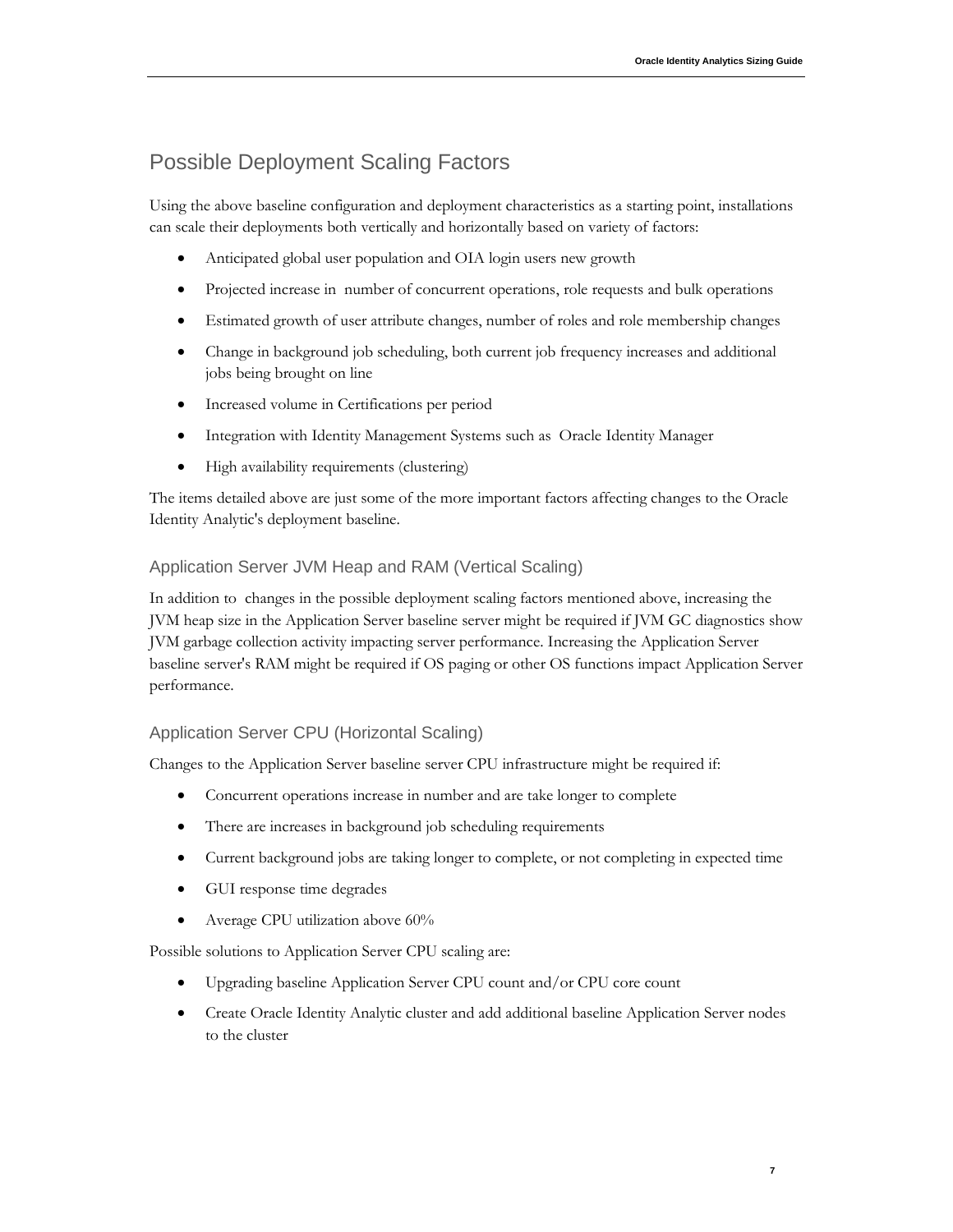# <span id="page-9-0"></span>Possible Deployment Scaling Factors

Using the above baseline configuration and deployment characteristics as a starting point, installations can scale their deployments both vertically and horizontally based on variety of factors:

- Anticipated global user population and OIA login users new growth
- Projected increase in number of concurrent operations, role requests and bulk operations
- Estimated growth of user attribute changes, number of roles and role membership changes
- Change in background job scheduling, both current job frequency increases and additional jobs being brought on line
- Increased volume in Certifications per period
- Integration with Identity Management Systems such as Oracle Identity Manager
- High availability requirements (clustering)

The items detailed above are just some of the more important factors affecting changes to the Oracle Identity Analytic's deployment baseline.

### <span id="page-9-1"></span>Application Server JVM Heap and RAM (Vertical Scaling)

In addition to changes in the possible deployment scaling factors mentioned above, increasing the JVM heap size in the Application Server baseline server might be required if JVM GC diagnostics show JVM garbage collection activity impacting server performance. Increasing the Application Server baseline server's RAM might be required if OS paging or other OS functions impact Application Server performance.

### <span id="page-9-2"></span>Application Server CPU (Horizontal Scaling)

Changes to the Application Server baseline server CPU infrastructure might be required if:

- Concurrent operations increase in number and are take longer to complete
- There are increases in background job scheduling requirements
- Current background jobs are taking longer to complete, or not completing in expected time
- GUI response time degrades
- Average CPU utilization above 60%

Possible solutions to Application Server CPU scaling are:

- Upgrading baseline Application Server CPU count and/or CPU core count
- Create Oracle Identity Analytic cluster and add additional baseline Application Server nodes to the cluster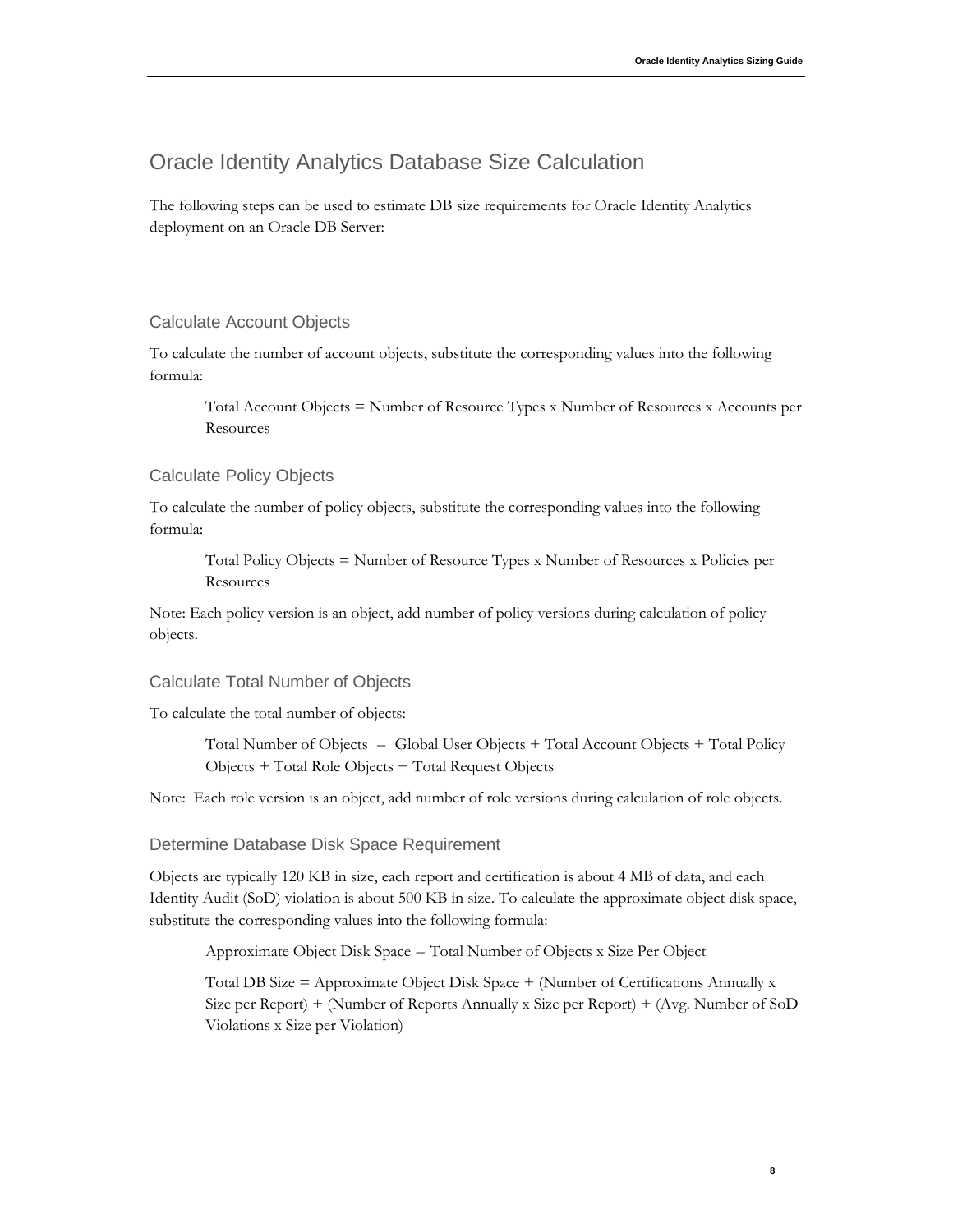**8**

### <span id="page-10-0"></span>Oracle Identity Analytics Database Size Calculation

<span id="page-10-1"></span>The following steps can be used to estimate DB size requirements for Oracle Identity Analytics deployment on an Oracle DB Server:

#### Calculate Account Objects

To calculate the number of account objects, substitute the corresponding values into the following formula:

Total Account Objects = Number of Resource Types x Number of Resources x Accounts per Resources

#### <span id="page-10-2"></span>Calculate Policy Objects

To calculate the number of policy objects, substitute the corresponding values into the following formula:

Total Policy Objects = Number of Resource Types x Number of Resources x Policies per **Resources** 

Note: Each policy version is an object, add number of policy versions during calculation of policy objects.

#### <span id="page-10-3"></span>Calculate Total Number of Objects

To calculate the total number of objects:

Total Number of Objects = Global User Objects + Total Account Objects + Total Policy Objects + Total Role Objects + Total Request Objects

Note: Each role version is an object, add number of role versions during calculation of role objects.

#### <span id="page-10-4"></span>Determine Database Disk Space Requirement

Objects are typically 120 KB in size, each report and certification is about 4 MB of data, and each Identity Audit (SoD) violation is about 500 KB in size. To calculate the approximate object disk space, substitute the corresponding values into the following formula:

Approximate Object Disk Space = Total Number of Objects x Size Per Object

Total DB Size = Approximate Object Disk Space + (Number of Certifications Annually x Size per Report) + (Number of Reports Annually x Size per Report) + (Avg. Number of SoD Violations x Size per Violation)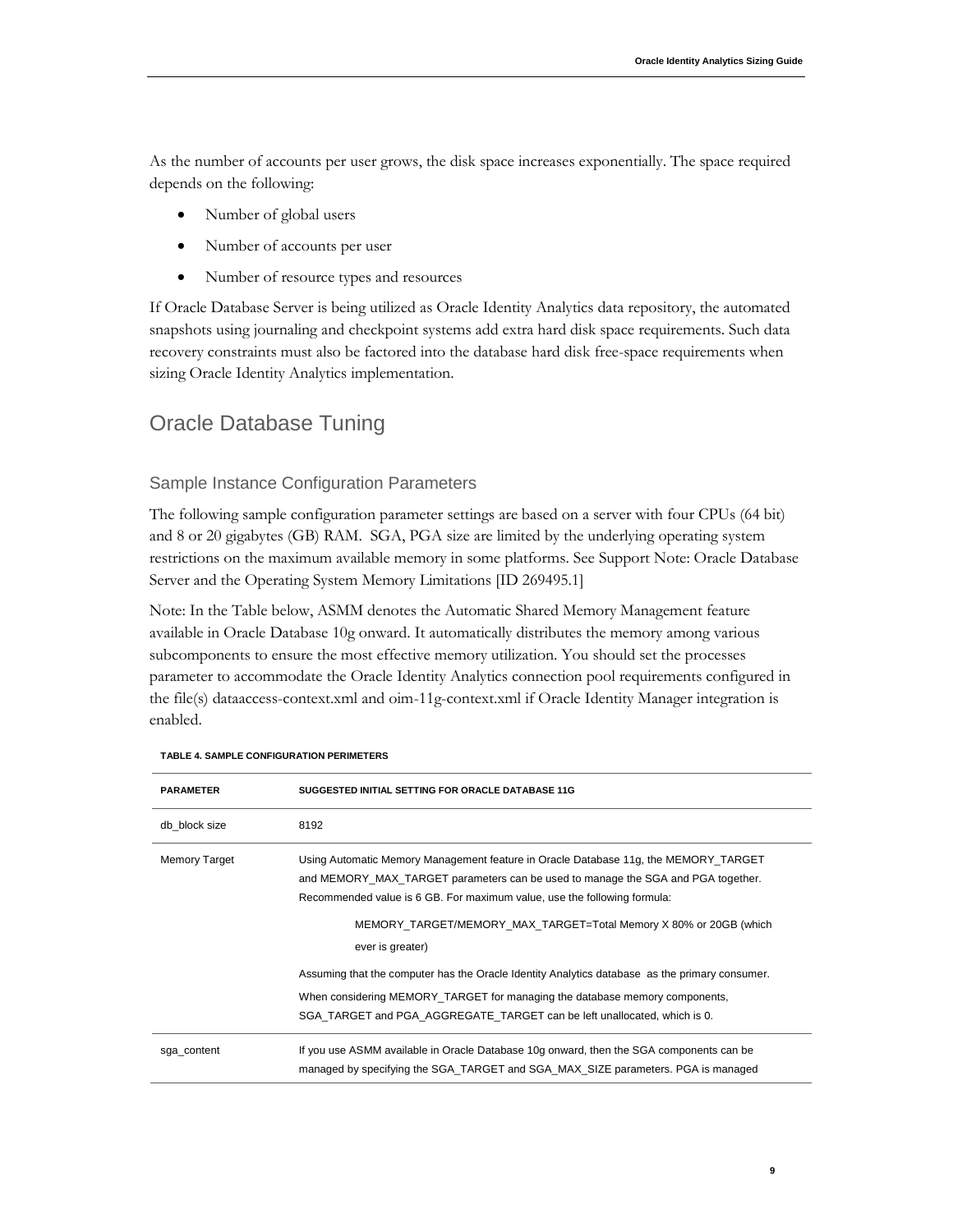As the number of accounts per user grows, the disk space increases exponentially. The space required depends on the following:

- Number of global users
- Number of accounts per user
- Number of resource types and resources

If Oracle Database Server is being utilized as Oracle Identity Analytics data repository, the automated snapshots using journaling and checkpoint systems add extra hard disk space requirements. Such data recovery constraints must also be factored into the database hard disk free-space requirements when sizing Oracle Identity Analytics implementation.

# <span id="page-11-0"></span>Oracle Database Tuning

### <span id="page-11-1"></span>Sample Instance Configuration Parameters

The following sample configuration parameter settings are based on a server with four CPUs (64 bit) and 8 or 20 gigabytes (GB) RAM. SGA, PGA size are limited by the underlying operating system restrictions on the maximum available memory in some platforms. See Support Note: Oracle Database Server and the Operating System Memory Limitations [ID 269495.1]

Note: In the Table below, ASMM denotes the Automatic Shared Memory Management feature available in Oracle Database 10g onward. It automatically distributes the memory among various subcomponents to ensure the most effective memory utilization. You should set the processes parameter to accommodate the Oracle Identity Analytics connection pool requirements configured in the file(s) dataaccess-context.xml and oim-11g-context.xml if Oracle Identity Manager integration is enabled.

| <b>PARAMETER</b>     | SUGGESTED INITIAL SETTING FOR ORACLE DATABASE 11G                                                                                                                                                                                                   |
|----------------------|-----------------------------------------------------------------------------------------------------------------------------------------------------------------------------------------------------------------------------------------------------|
| db block size        | 8192                                                                                                                                                                                                                                                |
| <b>Memory Target</b> | Using Automatic Memory Management feature in Oracle Database 11g, the MEMORY_TARGET<br>and MEMORY MAX TARGET parameters can be used to manage the SGA and PGA together.<br>Recommended value is 6 GB. For maximum value, use the following formula: |
|                      | MEMORY TARGET/MEMORY MAX TARGET=Total Memory X 80% or 20GB (which<br>ever is greater)                                                                                                                                                               |
|                      | Assuming that the computer has the Oracle Identity Analytics database as the primary consumer.                                                                                                                                                      |
|                      | When considering MEMORY_TARGET for managing the database memory components,                                                                                                                                                                         |
|                      | SGA TARGET and PGA AGGREGATE TARGET can be left unallocated, which is 0.                                                                                                                                                                            |
| sga_content          | If you use ASMM available in Oracle Database 10g onward, then the SGA components can be<br>managed by specifying the SGA_TARGET and SGA_MAX_SIZE parameters. PGA is managed                                                                         |

#### **TABLE 4. SAMPLE CONFIGURATION PERIMETERS**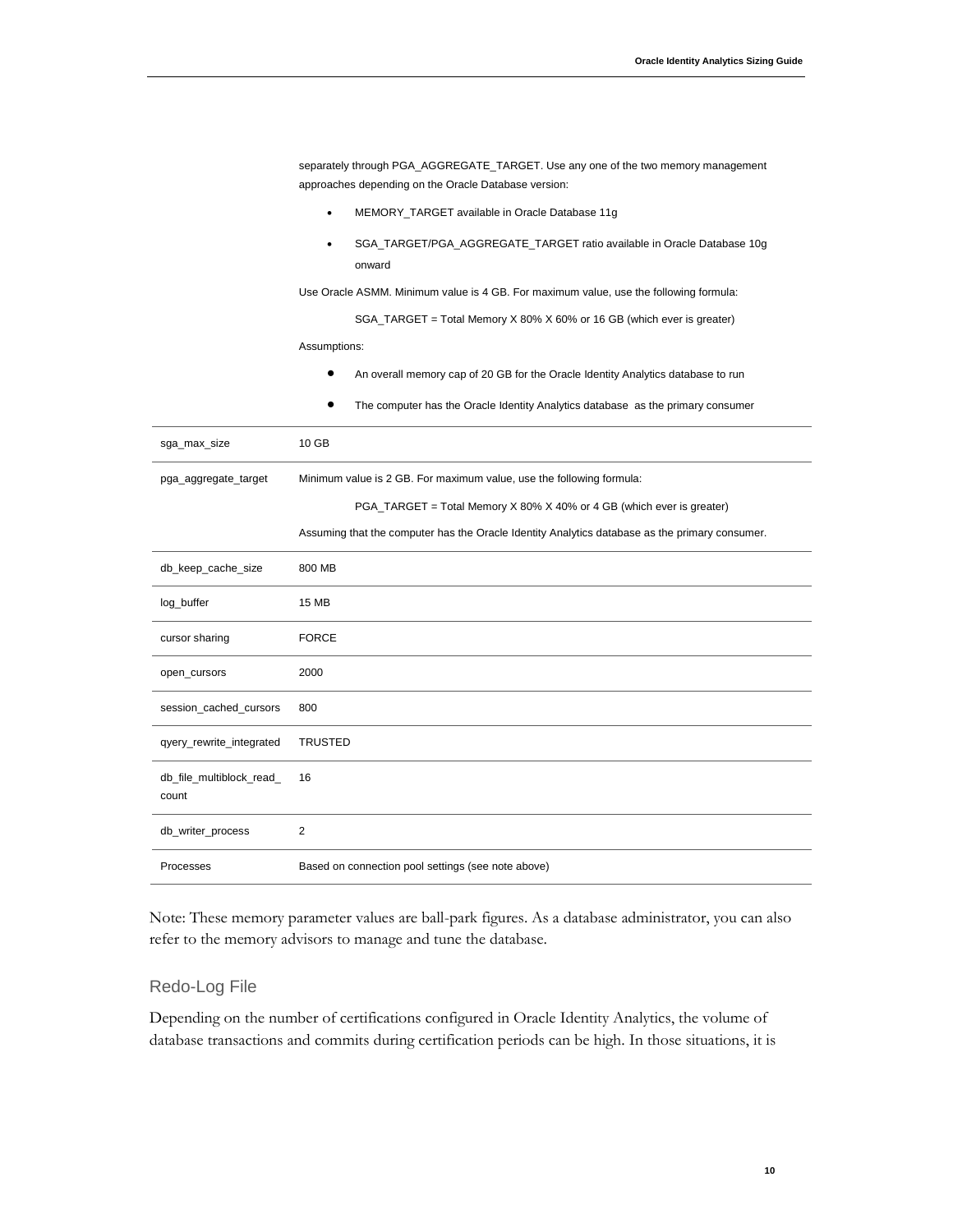|                                   | separately through PGA_AGGREGATE_TARGET. Use any one of the two memory management<br>approaches depending on the Oracle Database version: |
|-----------------------------------|-------------------------------------------------------------------------------------------------------------------------------------------|
|                                   | MEMORY_TARGET available in Oracle Database 11g<br>$\bullet$                                                                               |
|                                   | SGA_TARGET/PGA_AGGREGATE_TARGET ratio available in Oracle Database 10g<br>$\bullet$<br>onward                                             |
|                                   | Use Oracle ASMM. Minimum value is 4 GB. For maximum value, use the following formula:                                                     |
|                                   | SGA_TARGET = Total Memory X 80% X 60% or 16 GB (which ever is greater)                                                                    |
|                                   | Assumptions:                                                                                                                              |
|                                   | An overall memory cap of 20 GB for the Oracle Identity Analytics database to run                                                          |
|                                   | The computer has the Oracle Identity Analytics database as the primary consumer                                                           |
| sga_max_size                      | 10 GB                                                                                                                                     |
| pga_aggregate_target              | Minimum value is 2 GB. For maximum value, use the following formula:                                                                      |
|                                   | PGA_TARGET = Total Memory X 80% X 40% or 4 GB (which ever is greater)                                                                     |
|                                   | Assuming that the computer has the Oracle Identity Analytics database as the primary consumer.                                            |
| db_keep_cache_size                | 800 MB                                                                                                                                    |
| log_buffer                        | 15 MB                                                                                                                                     |
| cursor sharing                    | <b>FORCE</b>                                                                                                                              |
| open_cursors                      | 2000                                                                                                                                      |
| session_cached_cursors            | 800                                                                                                                                       |
| qyery_rewrite_integrated          | <b>TRUSTED</b>                                                                                                                            |
| db_file_multiblock_read_<br>count | 16                                                                                                                                        |
| db_writer_process                 | $\overline{2}$                                                                                                                            |
| Processes                         | Based on connection pool settings (see note above)                                                                                        |

Note: These memory parameter values are ball-park figures. As a database administrator, you can also refer to the memory advisors to manage and tune the database.

### <span id="page-12-0"></span>Redo-Log File

Depending on the number of certifications configured in Oracle Identity Analytics, the volume of database transactions and commits during certification periods can be high. In those situations, it is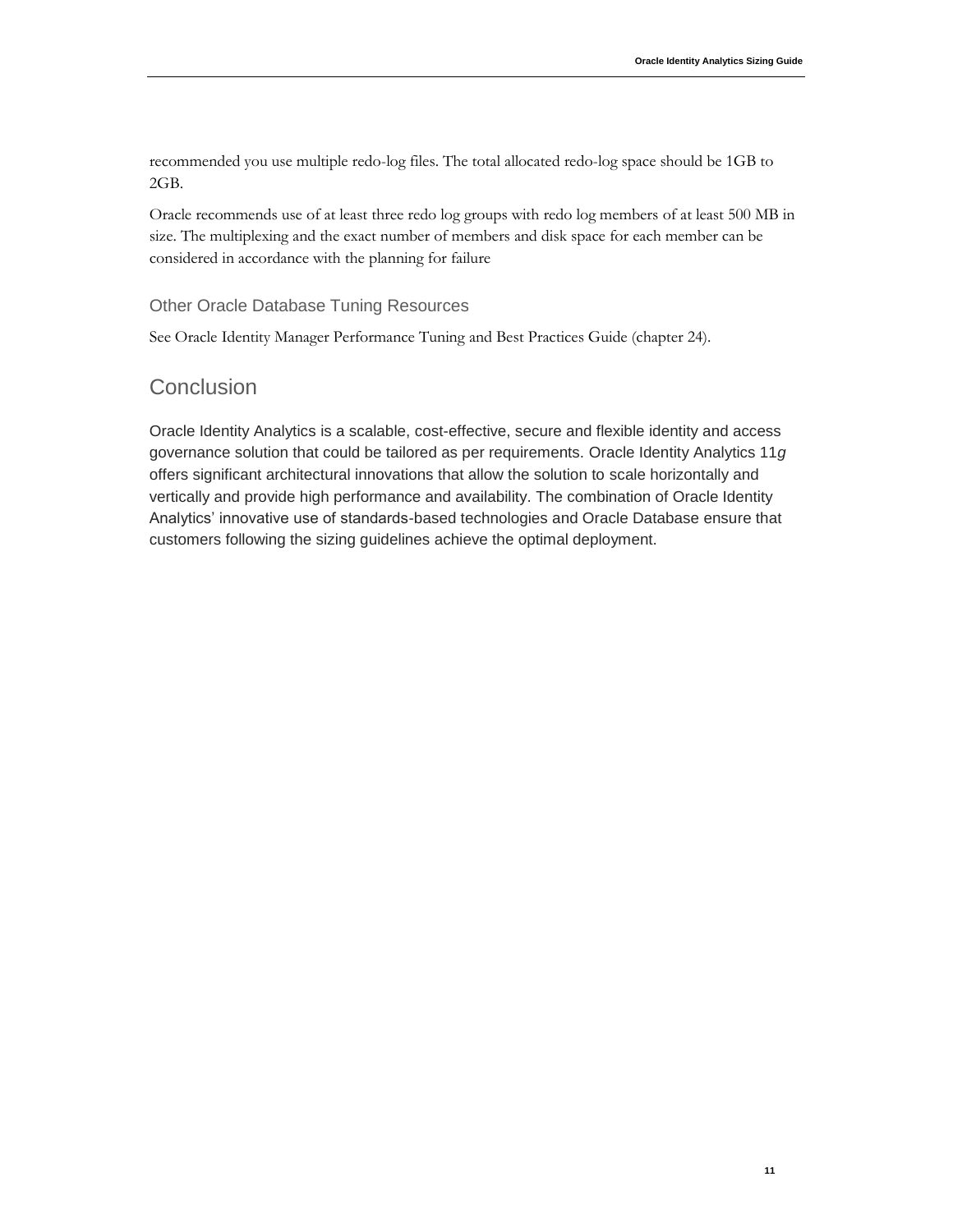recommended you use multiple redo-log files. The total allocated redo-log space should be 1GB to 2GB.

Oracle recommends use of at least three redo log groups with redo log members of at least 500 MB in size. The multiplexing and the exact number of members and disk space for each member can be considered in accordance with the planning for failure

### <span id="page-13-0"></span>Other Oracle Database Tuning Resources

See Oracle Identity Manager Performance Tuning and Best Practices Guide (chapter 24).

### <span id="page-13-1"></span>**Conclusion**

Oracle Identity Analytics is a scalable, cost-effective, secure and flexible identity and access governance solution that could be tailored as per requirements. Oracle Identity Analytics 11*g* offers significant architectural innovations that allow the solution to scale horizontally and vertically and provide high performance and availability. The combination of Oracle Identity Analytics' innovative use of standards-based technologies and Oracle Database ensure that customers following the sizing guidelines achieve the optimal deployment.